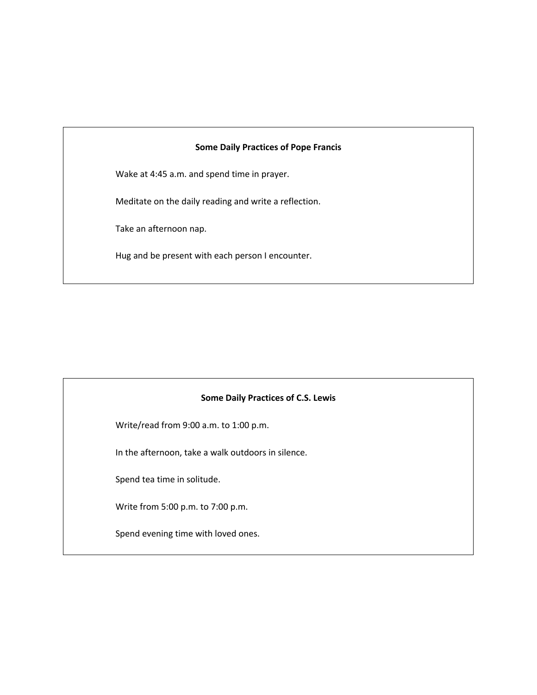### **Some Daily Practices of Pope Francis**

Wake at 4:45 a.m. and spend time in prayer.

Meditate on the daily reading and write a reflection.

Take an afternoon nap.

Hug and be present with each person I encounter.

#### **Some Daily Practices of C.S. Lewis**

Write/read from 9:00 a.m. to 1:00 p.m.

In the afternoon, take a walk outdoors in silence.

Spend tea time in solitude.

Write from 5:00 p.m. to 7:00 p.m.

Spend evening time with loved ones.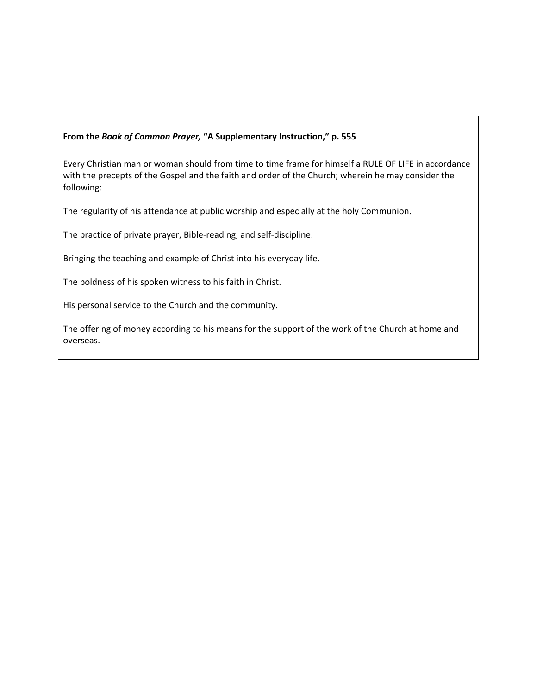### **From the** *Book of Common Prayer,* **"A Supplementary Instruction," p. 555**

Every Christian man or woman should from time to time frame for himself a RULE OF LIFE in accordance with the precepts of the Gospel and the faith and order of the Church; wherein he may consider the following:

The regularity of his attendance at public worship and especially at the holy Communion.

The practice of private prayer, Bible-reading, and self-discipline.

Bringing the teaching and example of Christ into his everyday life.

The boldness of his spoken witness to his faith in Christ.

His personal service to the Church and the community.

The offering of money according to his means for the support of the work of the Church at home and overseas.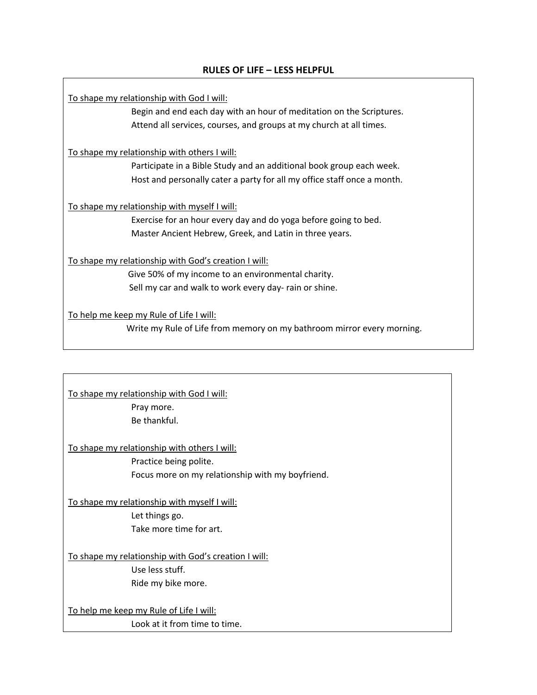# **RULES OF LIFE – LESS HELPFUL**

To shape my relationship with God I will:

Begin and end each day with an hour of meditation on the Scriptures. Attend all services, courses, and groups at my church at all times.

To shape my relationship with others I will:

Participate in a Bible Study and an additional book group each week. Host and personally cater a party for all my office staff once a month.

To shape my relationship with myself I will:

Exercise for an hour every day and do yoga before going to bed. Master Ancient Hebrew, Greek, and Latin in three years.

To shape my relationship with God's creation I will:

 Give 50% of my income to an environmental charity. Sell my car and walk to work every day- rain or shine.

To help me keep my Rule of Life I will:

Write my Rule of Life from memory on my bathroom mirror every morning.

To shape my relationship with God I will: Pray more. Be thankful.

To shape my relationship with others I will:

Practice being polite. Focus more on my relationship with my boyfriend.

To shape my relationship with myself I will: Let things go. Take more time for art.

To shape my relationship with God's creation I will: Use less stuff. Ride my bike more.

To help me keep my Rule of Life I will: Look at it from time to time.